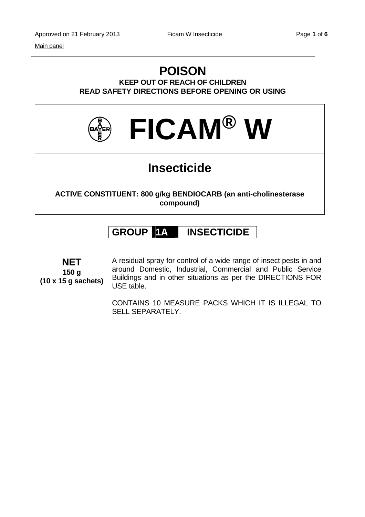#### Main panel

# **POISON**

**KEEP OUT OF REACH OF CHILDREN READ SAFETY DIRECTIONS BEFORE OPENING OR USING** 



## **Insecticide**

**ACTIVE CONSTITUENT: 800 g/kg BENDIOCARB (an anti-cholinesterase compound)** 

### **GROUP 1A INSECTICIDE**

**NET 150 g (10 x 15 g sachets)**

A residual spray for control of a wide range of insect pests in and around Domestic, Industrial, Commercial and Public Service Buildings and in other situations as per the DIRECTIONS FOR USE table.

CONTAINS 10 MEASURE PACKS WHICH IT IS ILLEGAL TO SELL SEPARATELY.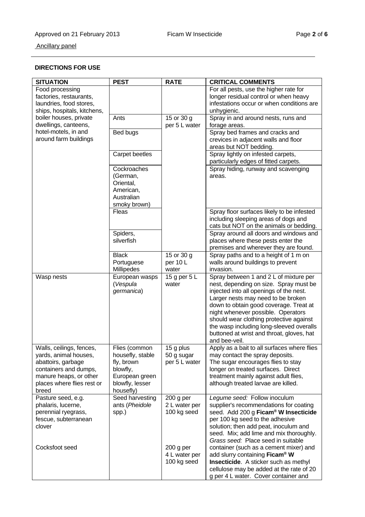### **DIRECTIONS FOR USE**

| <b>SITUATION</b>                                                                                                                                                                                        | <b>PEST</b>                                                                                                   | <b>RATE</b>                                 | <b>CRITICAL COMMENTS</b>                                                                                                                                                                                                                                                                                                                                                                               |
|---------------------------------------------------------------------------------------------------------------------------------------------------------------------------------------------------------|---------------------------------------------------------------------------------------------------------------|---------------------------------------------|--------------------------------------------------------------------------------------------------------------------------------------------------------------------------------------------------------------------------------------------------------------------------------------------------------------------------------------------------------------------------------------------------------|
| Food processing<br>factories, restaurants,<br>laundries, food stores,<br>ships, hospitals, kitchens,<br>boiler houses, private<br>dwellings, canteens,<br>hotel-motels, in and<br>around farm buildings |                                                                                                               |                                             | For all pests, use the higher rate for<br>longer residual control or when heavy<br>infestations occur or when conditions are<br>unhygienic.                                                                                                                                                                                                                                                            |
|                                                                                                                                                                                                         | Ants                                                                                                          | 15 or 30 g<br>per 5 L water                 | Spray in and around nests, runs and<br>forage areas.                                                                                                                                                                                                                                                                                                                                                   |
|                                                                                                                                                                                                         | Bed bugs                                                                                                      |                                             | Spray bed frames and cracks and<br>crevices in adjacent walls and floor<br>areas but NOT bedding.                                                                                                                                                                                                                                                                                                      |
|                                                                                                                                                                                                         | Carpet beetles                                                                                                |                                             | Spray lightly on infested carpets,<br>particularly edges of fitted carpets.                                                                                                                                                                                                                                                                                                                            |
|                                                                                                                                                                                                         | Cockroaches<br>(German,<br>Oriental,<br>American,<br>Australian<br>smoky brown)                               |                                             | Spray hiding, runway and scavenging<br>areas.                                                                                                                                                                                                                                                                                                                                                          |
|                                                                                                                                                                                                         | Fleas                                                                                                         |                                             | Spray floor surfaces likely to be infested<br>including sleeping areas of dogs and<br>cats but NOT on the animals or bedding.                                                                                                                                                                                                                                                                          |
|                                                                                                                                                                                                         | Spiders,<br>silverfish                                                                                        |                                             | Spray around all doors and windows and<br>places where these pests enter the<br>premises and wherever they are found.                                                                                                                                                                                                                                                                                  |
|                                                                                                                                                                                                         | <b>Black</b><br>Portuguese<br>Millipedes                                                                      | 15 or 30 g<br>per 10 L<br>water             | Spray paths and to a height of 1 m on<br>walls around buildings to prevent<br>invasion.                                                                                                                                                                                                                                                                                                                |
| Wasp nests                                                                                                                                                                                              | European wasps<br>(Vespula<br>germanica)                                                                      | 15 g per 5 L<br>water                       | Spray between 1 and 2 L of mixture per<br>nest, depending on size. Spray must be<br>injected into all openings of the nest.<br>Larger nests may need to be broken<br>down to obtain good coverage. Treat at<br>night whenever possible. Operators<br>should wear clothing protective against<br>the wasp including long-sleeved overalls<br>buttoned at wrist and throat, gloves, hat<br>and bee-veil. |
| Walls, ceilings, fences,<br>yards, animal houses,<br>abattoirs, garbage<br>containers and dumps,<br>manure heaps, or other<br>places where flies rest or<br>breed                                       | Flies (common<br>housefly, stable<br>fly, brown<br>blowfly,<br>European green<br>blowfly, lesser<br>housefly) | 15 g plus<br>50 g sugar<br>per 5 L water    | Apply as a bait to all surfaces where flies<br>may contact the spray deposits.<br>The sugar encourages flies to stay<br>longer on treated surfaces. Direct<br>treatment mainly against adult flies,<br>although treated larvae are killed.                                                                                                                                                             |
| Pasture seed, e.g.<br>phalaris, lucerne,<br>perennial ryegrass,<br>fescue, subterranean<br>clover                                                                                                       | Seed harvesting<br>ants (Pheidole<br>spp.)                                                                    | $200$ g per<br>2 L water per<br>100 kg seed | Legume seed: Follow inoculum<br>supplier's recommendations for coating<br>seed. Add 200 g Ficam <sup>®</sup> W Insecticide<br>per 100 kg seed to the adhesive<br>solution; then add peat, inoculum and<br>seed. Mix; add lime and mix thoroughly.<br>Grass seed: Place seed in suitable                                                                                                                |
| Cocksfoot seed                                                                                                                                                                                          |                                                                                                               | $200$ g per<br>4 L water per<br>100 kg seed | container (such as a cement mixer) and<br>add slurry containing Ficam <sup>®</sup> W<br>Insecticide. A sticker such as methyl<br>cellulose may be added at the rate of 20<br>g per 4 L water. Cover container and                                                                                                                                                                                      |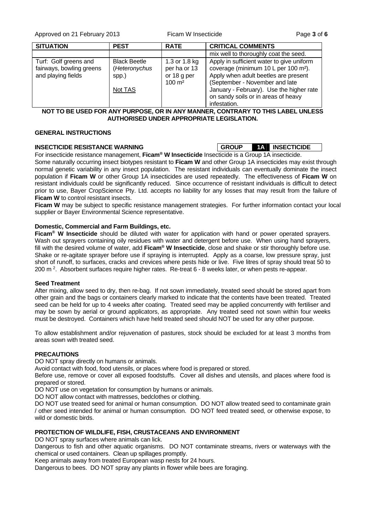Approved on 21 February 2013 Ficam W Insecticide Page **3** of **6**

| <b>SITUATION</b>                                                        | <b>PEST</b>                                              | <b>RATE</b>                                                         | <b>CRITICAL COMMENTS</b>                                                                                                                                                                                                                                                   |
|-------------------------------------------------------------------------|----------------------------------------------------------|---------------------------------------------------------------------|----------------------------------------------------------------------------------------------------------------------------------------------------------------------------------------------------------------------------------------------------------------------------|
|                                                                         |                                                          |                                                                     | mix well to thoroughly coat the seed.                                                                                                                                                                                                                                      |
| Turf: Golf greens and<br>fairways, bowling greens<br>and playing fields | <b>Black Beetle</b><br>(Heteronychus<br>spp.)<br>Not TAS | 1.3 or 1.8 kg<br>per ha or 13<br>or 18 g per<br>$100 \; \text{m}^2$ | Apply in sufficient water to give uniform<br>coverage (minimum 10 L per 100 m <sup>2</sup> ).<br>Apply when adult beetles are present<br>(September - November and late<br>January - February). Use the higher rate<br>on sandy soils or in areas of heavy<br>infestation. |

**NOT TO BE USED FOR ANY PURPOSE, OR IN ANY MANNER, CONTRARY TO THIS LABEL UNLESS AUTHORISED UNDER APPROPRIATE LEGISLATION.** 

#### **GENERAL INSTRUCTIONS**

#### **INSECTICIDE RESISTANCE WARNING GROUP 1A INSECTICIDE**

For insecticide resistance management, **Ficam® W Insecticide** Insecticide is a Group 1A insecticide. Some naturally occurring insect biotypes resistant to **Ficam W** and other Group 1A insecticides may exist through normal genetic variability in any insect population. The resistant individuals can eventually dominate the insect population if **Ficam W** or other Group 1A insecticides are used repeatedly. The effectiveness of **Ficam W** on resistant individuals could be significantly reduced. Since occurrence of resistant individuals is difficult to detect prior to use, Bayer CropScience Pty. Ltd. accepts no liability for any losses that may result from the failure of **Ficam W** to control resistant insects.

Ficam W may be subject to specific resistance management strategies. For further information contact your local supplier or Bayer Environmental Science representative.

#### **Domestic, Commercial and Farm Buildings, etc.**

**Ficam® W Insecticide** should be diluted with water for application with hand or power operated sprayers. Wash out sprayers containing oily residues with water and detergent before use. When using hand sprayers, fill with the desired volume of water, add **Ficam® W Insecticide**, close and shake or stir thoroughly before use. Shake or re-agitate sprayer before use if spraying is interrupted. Apply as a coarse, low pressure spray, just short of runoff, to surfaces, cracks and crevices where pests hide or live. Five litres of spray should treat 50 to 200 m 2. Absorbent surfaces require higher rates. Re-treat 6 - 8 weeks later, or when pests re-appear.

#### **Seed Treatment**

After mixing, allow seed to dry, then re-bag. If not sown immediately, treated seed should be stored apart from other grain and the bags or containers clearly marked to indicate that the contents have been treated. Treated seed can be held for up to 4 weeks after coating. Treated seed may be applied concurrently with fertiliser and may be sown by aerial or ground applicators, as appropriate. Any treated seed not sown within four weeks must be destroyed. Containers which have held treated seed should NOT be used for any other purpose.

To allow establishment and/or rejuvenation of pastures, stock should be excluded for at least 3 months from areas sown with treated seed.

#### **PRECAUTIONS**

DO NOT spray directly on humans or animals.

Avoid contact with food, food utensils, or places where food is prepared or stored.

Before use, remove or cover all exposed foodstuffs. Cover all dishes and utensils, and places where food is prepared or stored.

DO NOT use on vegetation for consumption by humans or animals.

DO NOT allow contact with mattresses, bedclothes or clothing.

DO NOT use treated seed for animal or human consumption. DO NOT allow treated seed to contaminate grain / other seed intended for animal or human consumption. DO NOT feed treated seed, or otherwise expose, to wild or domestic birds.

#### **PROTECTION OF WILDLIFE, FISH, CRUSTACEANS AND ENVIRONMENT**

DO NOT spray surfaces where animals can lick.

Dangerous to fish and other aquatic organisms. DO NOT contaminate streams, rivers or waterways with the chemical or used containers. Clean up spillages promptly.

Keep animals away from treated European wasp nests for 24 hours.

Dangerous to bees. DO NOT spray any plants in flower while bees are foraging.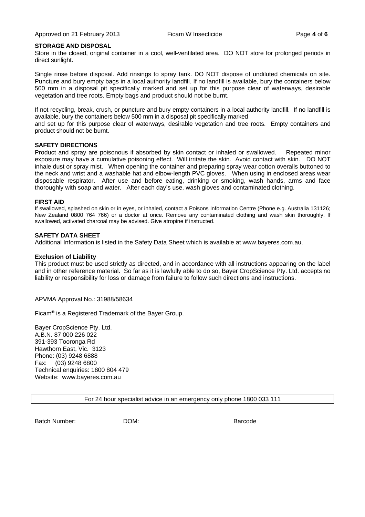#### **STORAGE AND DISPOSAL**

Store in the closed, original container in a cool, well-ventilated area. DO NOT store for prolonged periods in direct sunlight.

Single rinse before disposal. Add rinsings to spray tank. DO NOT dispose of undiluted chemicals on site. Puncture and bury empty bags in a local authority landfill. If no landfill is available, bury the containers below 500 mm in a disposal pit specifically marked and set up for this purpose clear of waterways, desirable vegetation and tree roots. Empty bags and product should not be burnt.

If not recycling, break, crush, or puncture and bury empty containers in a local authority landfill. If no landfill is available, bury the containers below 500 mm in a disposal pit specifically marked

and set up for this purpose clear of waterways, desirable vegetation and tree roots. Empty containers and product should not be burnt.

#### **SAFETY DIRECTIONS**

Product and spray are poisonous if absorbed by skin contact or inhaled or swallowed. Repeated minor exposure may have a cumulative poisoning effect. Will irritate the skin. Avoid contact with skin. DO NOT inhale dust or spray mist. When opening the container and preparing spray wear cotton overalls buttoned to the neck and wrist and a washable hat and elbow-length PVC gloves. When using in enclosed areas wear disposable respirator. After use and before eating, drinking or smoking, wash hands, arms and face thoroughly with soap and water. After each day's use, wash gloves and contaminated clothing.

#### **FIRST AID**

If swallowed, splashed on skin or in eyes, or inhaled, contact a Poisons Information Centre (Phone e.g. Australia 131126; New Zealand 0800 764 766) or a doctor at once. Remove any contaminated clothing and wash skin thoroughly. If swallowed, activated charcoal may be advised. Give atropine if instructed.

#### **SAFETY DATA SHEET**

Additional Information is listed in the Safety Data Sheet which is available at www.bayeres.com.au.

#### **Exclusion of Liability**

This product must be used strictly as directed, and in accordance with all instructions appearing on the label and in other reference material. So far as it is lawfully able to do so, Bayer CropScience Pty. Ltd. accepts no liability or responsibility for loss or damage from failure to follow such directions and instructions.

#### APVMA Approval No.: 31988/58634

Ficam**®** is a Registered Trademark of the Bayer Group.

Bayer CropScience Pty. Ltd. A.B.N. 87 000 226 022 391-393 Tooronga Rd Hawthorn East, Vic. 3123 Phone: (03) 9248 6888 Fax: (03) 9248 6800 Technical enquiries: 1800 804 479 Website: www.bayeres.com.au

For 24 hour specialist advice in an emergency only phone 1800 033 111

Batch Number: DOM: Barcode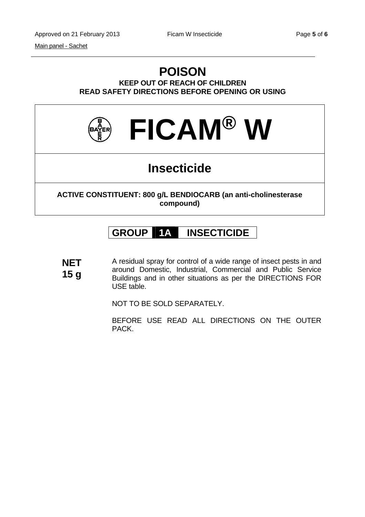### **POISON KEEP OUT OF REACH OF CHILDREN READ SAFETY DIRECTIONS BEFORE OPENING OR USING**



# **Insecticide**

**ACTIVE CONSTITUENT: 800 g/L BENDIOCARB (an anti-cholinesterase compound)** 

## **GROUP 1A INSECTICIDE**

**NET 15 g** A residual spray for control of a wide range of insect pests in and around Domestic, Industrial, Commercial and Public Service Buildings and in other situations as per the DIRECTIONS FOR USE table.

NOT TO BE SOLD SEPARATELY.

BEFORE USE READ ALL DIRECTIONS ON THE OUTER PACK.